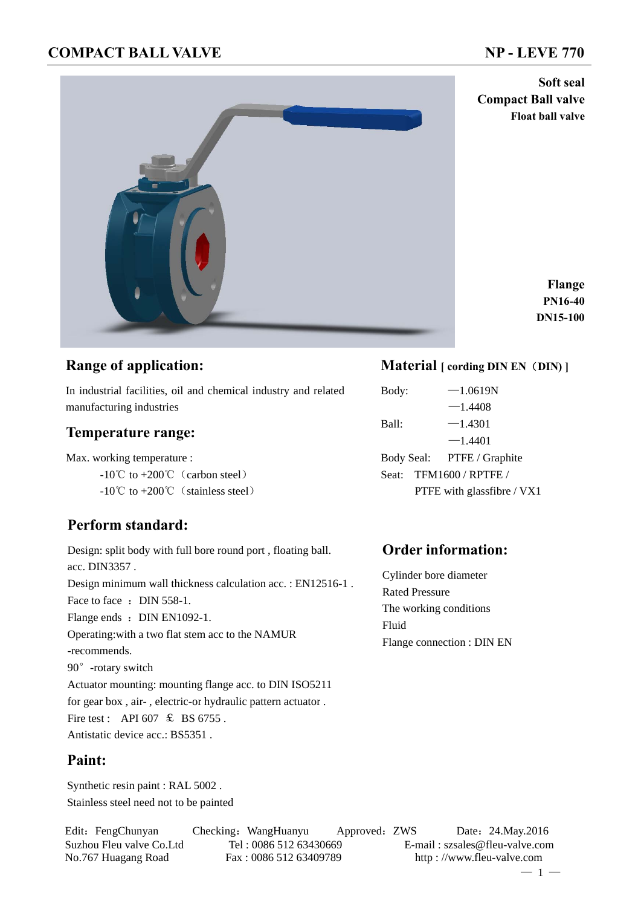**Compact Ball valve**

**Float ball valve**

**Soft seal**



**Flange PN16-40 DN15-100**

## **Range of application:**

In industrial facilities, oil and chemical industry and related manufacturing industries

## **Temperature range:**

Max. working temperature :

- $-10^{\circ}$ C to  $+200^{\circ}$  (carbon steel)
- $-10^{\circ}$ C to  $+200^{\circ}$ C (stainless steel)

# **Perform standard:**

Design: split body with full bore round port , floating ball. acc. DIN3357 . Design minimum wall thickness calculation acc. : EN12516-1 . Face to face : DIN 558-1. Flange ends : DIN EN1092-1. Operating:with a two flat stem acc to the NAMUR -recommends. 90°-rotary switch Actuator mounting: mounting flange acc. to DIN ISO5211 for gear box , air- , electric-or hydraulic pattern actuator . Fire test : API 607  $\text{\&}$  BS 6755. Antistatic device acc.: BS5351 .

## **Paint:**

Synthetic resin paint : RAL 5002 . Stainless steel need not to be painted

# Edit: FengChunyan Checking: WangHuanyu Approved: ZWS Date: 24.May.2016

## **Material [ cording DIN EN**(**DIN) ]**

Body:  $-1.0619N$  $-1.4408$ Ball:  $-1.4301$  $-1.4401$ Body Seal: PTFE / Graphite Seat: TFM1600 / RPTFE / PTFE with glassfibre / VX1

## **Order information:**

Cylinder bore diameter Rated Pressure The working conditions Fluid Flange connection : DIN EN

Suzhou Fleu valve Co.Ltd Tel : 0086 512 63430669 E-mail : szsales@fleu-valve.com No.767 Huagang Road Fax : 0086 512 63409789 http : //www.fleu-valve.com  $-1 -$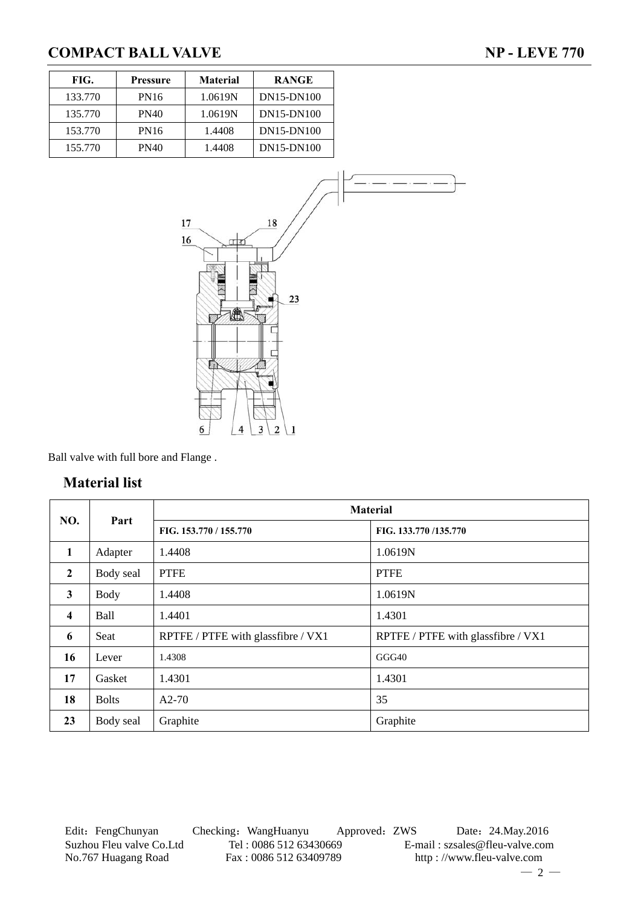133.770 135.770 153.770 155.770

| FIG.   | <b>Pressure</b> | <b>Material</b>                                              | <b>RANGE</b>                                                        |  |
|--------|-----------------|--------------------------------------------------------------|---------------------------------------------------------------------|--|
| 33.770 | PN16            | 1.0619N                                                      | DN15-DN100                                                          |  |
| 35.770 | <b>PN40</b>     | 1.0619N                                                      | DN15-DN100                                                          |  |
| 53.770 | PN16            | 1.4408                                                       | DN15-DN100                                                          |  |
| 55.770 | <b>PN40</b>     | 1.4408                                                       | DN15-DN100                                                          |  |
|        |                 | 17<br>16<br><u>া ব</u><br>IÀ<br>$\overline{\mathbf{4}}$<br>6 | 18<br>23<br>$\overline{\mathbf{3}}$<br>$\overline{\mathbf{c}}$<br>1 |  |

Ball valve with full bore and Flange .

## **Material list**

|                         |              |                                    | <b>Material</b>                    |
|-------------------------|--------------|------------------------------------|------------------------------------|
| NO.                     | Part         | FIG. 153.770 / 155.770             | FIG. 133.770/135.770               |
| $\mathbf{1}$            | Adapter      | 1.4408                             | 1.0619N                            |
| $\mathbf{2}$            | Body seal    | <b>PTFE</b>                        | <b>PTFE</b>                        |
| 3                       | <b>Body</b>  | 1.4408                             | 1.0619N                            |
| $\overline{\mathbf{4}}$ | <b>Ball</b>  | 1.4401                             | 1.4301                             |
| 6                       | Seat         | RPTFE / PTFE with glassfibre / VX1 | RPTFE / PTFE with glassfibre / VX1 |
| 16                      | Lever        | 1.4308                             | GGG40                              |
| 17                      | Gasket       | 1.4301                             | 1.4301                             |
| 18                      | <b>Bolts</b> | $A2-70$                            | 35                                 |
| 23                      | Body seal    | Graphite                           | Graphite                           |

Edit: FengChunyan Checking: WangHuanyu Approved: ZWS Date: 24.May.2016 Suzhou Fleu valve Co.Ltd Tel : 0086 512 63430669 E-mail : szsales@fleu-valve.com<br>No.767 Huagang Road Fax : 0086 512 63409789 http : //www.fleu-valve.com

http : //www.fleu-valve.com  $-2-$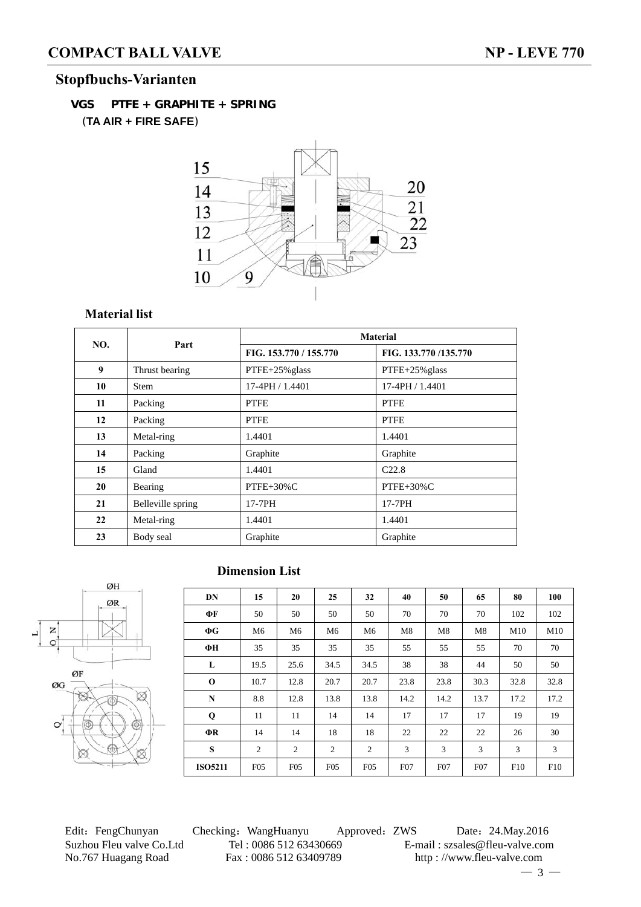# **Stopfbuchs-Varianten**

**VGS PTFE + GRAPHITE + SPRING** (**TA AIR + FIRE SAFE**)



## **Material list**

| NO. | Part              |                        | <b>Material</b>      |  |
|-----|-------------------|------------------------|----------------------|--|
|     |                   | FIG. 153.770 / 155.770 | FIG. 133.770/135.770 |  |
| 9   | Thrust bearing    | $PTFE+25\%$ glass      | $PTFE+25\%$ glass    |  |
| 10  | <b>Stem</b>       | $17-4$ PH $/ 1.4401$   | 17-4PH / 1.4401      |  |
| 11  | Packing           | <b>PTFE</b>            | <b>PTFE</b>          |  |
| 12  | Packing           | <b>PTFE</b>            | <b>PTFE</b>          |  |
| 13  | Metal-ring        | 1.4401                 | 1.4401               |  |
| 14  | Packing           | Graphite               | Graphite             |  |
| 15  | Gland             | 1.4401                 | C22.8                |  |
| 20  | Bearing           | $PTFE+30\%C$           | PTFE+30%C            |  |
| 21  | Belleville spring | 17-7PH                 | 17-7PH               |  |
| 22  | Metal-ring        | 1.4401                 | 1.4401               |  |
| 23  | Body seal         | Graphite               | Graphite             |  |

# **Dimension List**



| <b>DN</b>      | 15              | 20   | 25              | 32              | 40   | 50               | 65   | 80   | 100  |
|----------------|-----------------|------|-----------------|-----------------|------|------------------|------|------|------|
| ФF             | 50              | 50   | 50              | 50              | 70   | 70               | 70   | 102  | 102  |
| $\Phi G$       | M6              | M6   | M6              | M6              | M8   | M8               | M8   | M10  | M10  |
| ФН             | 35              | 35   | 35              | 35              | 55   | 55               | 55   | 70   | 70   |
| L              | 19.5            | 25.6 | 34.5            | 34.5            | 38   | 38               | 44   | 50   | 50   |
| $\bf{O}$       | 10.7            | 12.8 | 20.7            | 20.7            | 23.8 | 23.8             | 30.3 | 32.8 | 32.8 |
| $\mathbf N$    | 8.8             | 12.8 | 13.8            | 13.8            | 14.2 | 14.2             | 13.7 | 17.2 | 17.2 |
| Q              | 11              | 11   | 14              | 14              | 17   | 17               | 17   | 19   | 19   |
| $\Phi$ R       | 14              | 14   | 18              | 18              | 22   | 22               | 22   | 26   | 30   |
| S              | 2               | 2    | 2               | 2               | 3    | 3                | 3    | 3    | 3    |
| <b>ISO5211</b> | F <sub>05</sub> | F05  | F <sub>05</sub> | F <sub>05</sub> | F07  | F <sub>0</sub> 7 | F07  | F10  | F10  |

Edit: FengChunyan Checking: WangHuanyu Approved: ZWS Date: 24.May.2016 Suzhou Fleu valve Co.Ltd Tel : 0086 512 63430669 E-mail : szsales@fleu-valve.com<br>No.767 Huagang Road Fax : 0086 512 63409789 http : //www.fleu-valve.com No.767 Huagang Road Fax : 0086 512 63409789 http : //www.fleu-valve.com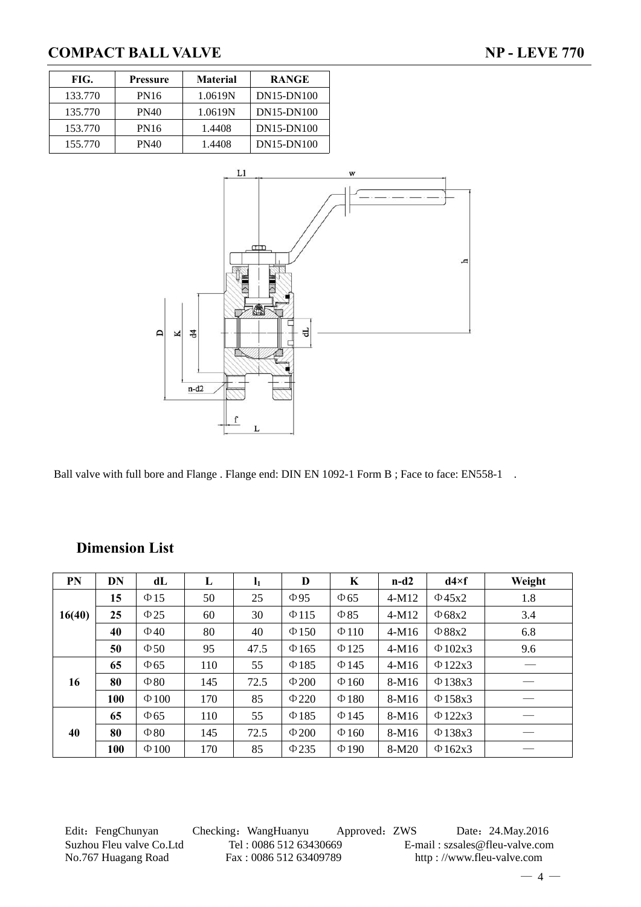| FIG.    | Pressure    | <b>Material</b> | <b>RANGE</b> |
|---------|-------------|-----------------|--------------|
| 133.770 | <b>PN16</b> | 1.0619N         | DN15-DN100   |
| 135,770 | PN40        | 1.0619N         | DN15-DN100   |
| 153.770 | PN16        | 1.4408          | DN15-DN100   |
| 155,770 | PN40        | 1.4408          | DN15-DN100   |



Ball valve with full bore and Flange . Flange end: DIN EN 1092-1 Form B; Face to face: EN558-1 .

| PN     | DN         | dL         | L   | $\mathbf{l}_1$ | D          | K          | $n-d2$  | $d4\times f$ | Weight |
|--------|------------|------------|-----|----------------|------------|------------|---------|--------------|--------|
|        | 15         | $\Phi$ 15  | 50  | 25             | $\Phi$ 95  | $\Phi$ 65  | $4-M12$ | $\Phi$ 45x2  | 1.8    |
| 16(40) | 25         | $\Phi$ 25  | 60  | 30             | $\Phi$ 115 | $\Phi$ 85  | $4-M12$ | $\Phi$ 68x2  | 3.4    |
|        | 40         | $\Phi$ 40  | 80  | 40             | $\Phi$ 150 | $\Phi$ 110 | $4-M16$ | $\Phi$ 88x2  | 6.8    |
|        | 50         | $\Phi$ 50  | 95  | 47.5           | $\Phi$ 165 | $\Phi$ 125 | $4-M16$ | $\Phi$ 102x3 | 9.6    |
|        | 65         | $\Phi$ 65  | 110 | 55             | $\Phi$ 185 | $\Phi$ 145 | $4-M16$ | $\Phi$ 122x3 |        |
| 16     | 80         | $\Phi$ 80  | 145 | 72.5           | $\Phi$ 200 | $\Phi$ 160 | 8-M16   | $\Phi$ 138x3 |        |
|        | <b>100</b> | $\Phi$ 100 | 170 | 85             | $\Phi$ 220 | $\Phi$ 180 | 8-M16   | $\Phi$ 158x3 |        |
|        | 65         | $\Phi$ 65  | 110 | 55             | $\Phi$ 185 | $\Phi$ 145 | 8-M16   | $\Phi$ 122x3 |        |
| 40     | 80         | $\Phi$ 80  | 145 | 72.5           | $\Phi$ 200 | $\Phi$ 160 | 8-M16   | $\Phi$ 138x3 |        |
|        | <b>100</b> | $\Phi$ 100 | 170 | 85             | $\Phi$ 235 | $\Phi$ 190 | $8-M20$ | $\Phi$ 162x3 |        |

## **Dimension List**

Edit: FengChunyan Checking: WangHuanyu Approved: ZWS Date: 24.May.2016 Suzhou Fleu valve Co.Ltd Tel : 0086 512 63430669 E-mail : szsales@fleu-valve.com<br>No.767 Huagang Road Fax : 0086 512 63409789 http : //www.fleu-valve.com No.767 Huagang Road Fax : 0086 512 63409789 http : //www.fleu-valve.com